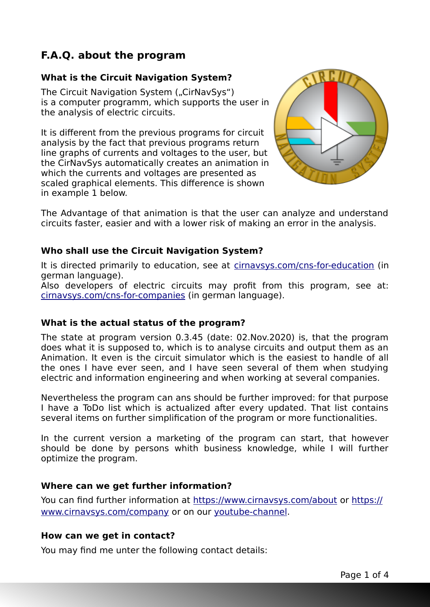## **F.A.Q. about the program**

### **What is the Circuit Navigation System?**

The Circuit Navigation System ("CirNaySys") is a computer programm, which supports the user in the analysis of electric circuits.

It is different from the previous programs for circuit analysis by the fact that previous programs return line graphs of currents and voltages to the user, but the CirNavSys automatically creates an animation in which the currents and voltages are presented as scaled graphical elements. This difference is shown in example 1 below.



The Advantage of that animation is that the user can analyze and understand circuits faster, easier and with a lower risk of making an error in the analysis.

#### **Who shall use the Circuit Navigation System?**

It is directed primarily to education, see at [cirnavsys.com/cns-for-education](https://cirnavsys.com/cns-for-education) (in german language).

Also developers of electric circuits may profit from this program, see at: [cirnavsys.com/cns-for-companies](https://cirnavsys.com/cns-for-companies) (in german language).

#### **What is the actual status of the program?**

The state at program version 0.3.45 (date: 02.Nov.2020) is, that the program does what it is supposed to, which is to analyse circuits and output them as an Animation. It even is the circuit simulator which is the easiest to handle of all the ones I have ever seen, and I have seen several of them when studying electric and information engineering and when working at several companies.

Nevertheless the program can ans should be further improved: for that purpose I have a ToDo list which is actualized after every updated. That list contains several items on further simplification of the program or more functionalities.

In the current version a marketing of the program can start, that however should be done by persons whith business knowledge, while I will further optimize the program.

#### **Where can we get further information?**

You can find further information at<https://www.cirnavsys.com/about> or [https://](https://www.cirnavsys.com/company) [www.cirnavsys.com/company](https://www.cirnavsys.com/company) or on our youtube-channel.

#### **How can we get in contact?**

You may find me unter the following contact details: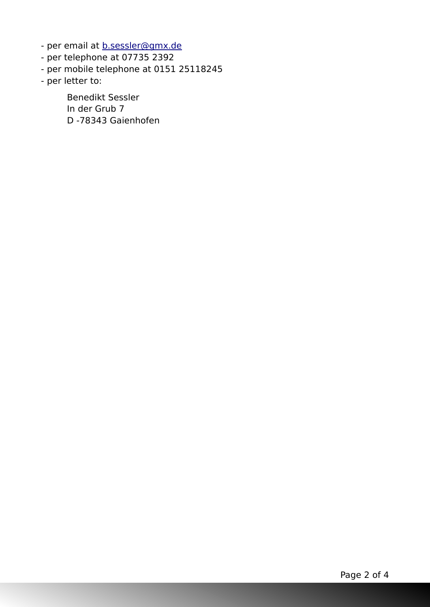- per email at **b.sessler@gmx.de**
- per telephone at 07735 2392
- per mobile telephone at 0151 25118245
- per letter to:

Benedikt Sessler In der Grub 7 D -78343 Gaienhofen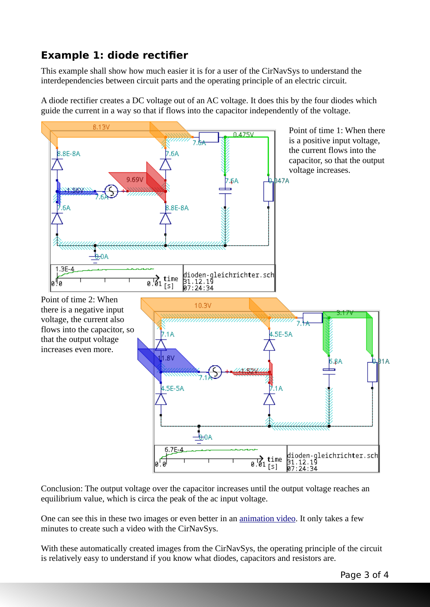# **Example 1: diode rectifier**

This example shall show how much easier it is for a user of the CirNavSys to understand the interdependencies between circuit parts and the operating principle of an electric circuit.

A diode rectifier creates a DC voltage out of an AC voltage. It does this by the four diodes which guide the current in a way so that if flows into the capacitor independently of the voltage.



Conclusion: The output voltage over the capacitor increases until the output voltage reaches an equilibrium value, which is circa the peak of the ac input voltage.

One can see this in these two images or even better in an [animation video](https://vimeo.com/386196137). It only takes a few minutes to create such a video with the CirNavSys.

With these automatically created images from the CirNavSys, the operating principle of the circuit is relatively easy to understand if you know what diodes, capacitors and resistors are.